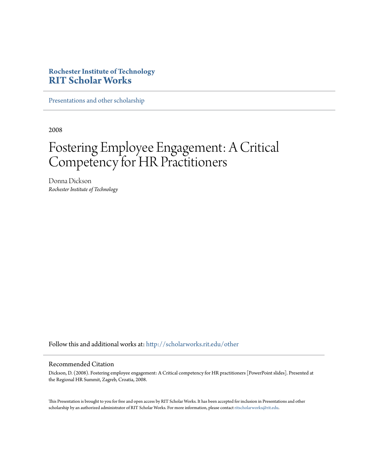#### **Rochester Institute of Technology [RIT Scholar Works](http://scholarworks.rit.edu?utm_source=scholarworks.rit.edu%2Fother%2F807&utm_medium=PDF&utm_campaign=PDFCoverPages)**

[Presentations and other scholarship](http://scholarworks.rit.edu/other?utm_source=scholarworks.rit.edu%2Fother%2F807&utm_medium=PDF&utm_campaign=PDFCoverPages)

2008

#### Fostering Employee Engagement: A Critical Competency for HR Practitioners

Donna Dickson *Rochester Institute of Technology*

Follow this and additional works at: [http://scholarworks.rit.edu/other](http://scholarworks.rit.edu/other?utm_source=scholarworks.rit.edu%2Fother%2F807&utm_medium=PDF&utm_campaign=PDFCoverPages)

#### Recommended Citation

Dickson, D. (2008). Fostering employee engagement: A Critical competency for HR practitioners [PowerPoint slides]. Presented at the Regional HR Summit, Zagreb, Croatia, 2008.

This Presentation is brought to you for free and open access by RIT Scholar Works. It has been accepted for inclusion in Presentations and other scholarship by an authorized administrator of RIT Scholar Works. For more information, please contact [ritscholarworks@rit.edu](mailto:ritscholarworks@rit.edu).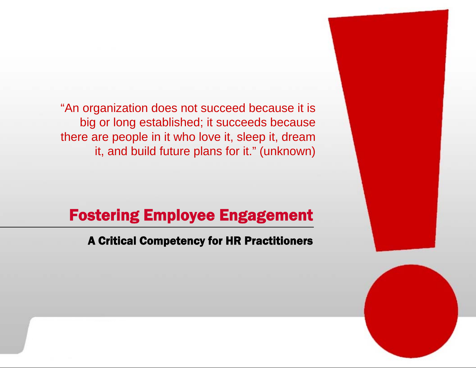"An organization does not succeed because it is big or long established; it succeeds because there are people in it who love it, sleep it, dream it, and build future plans for it." (unknown)

#### Fostering Employee Engagement

#### A Critical Competency for HR Practitioners

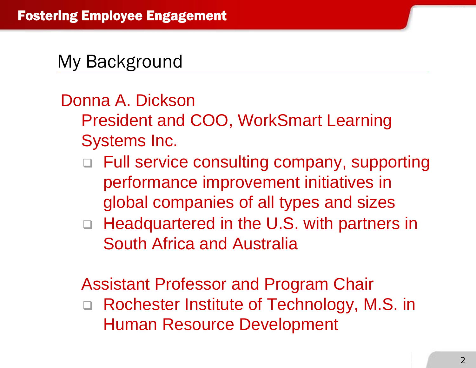#### My Background

#### Donna A. Dickson

- President and COO, WorkSmart Learning Systems Inc.
	- □ Full service consulting company, supporting performance improvement initiatives in global companies of all types and sizes
	- □ Headquartered in the U.S. with partners in South Africa and Australia

Assistant Professor and Program Chair  $\Box$  Rochester Institute of Technology, M.S. in Human Resource Development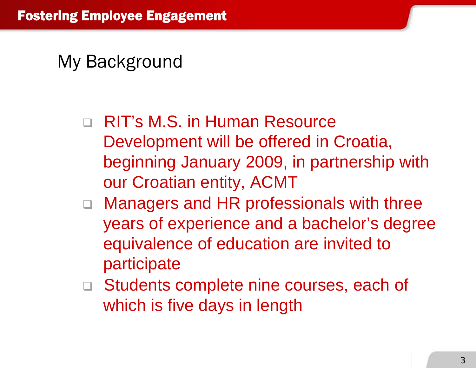#### My Background

- □ RIT's M.S. in Human Resource Development will be offered in Croatia, beginning January 2009, in partnership with our Croatian entity, ACMT
- □ Managers and HR professionals with three years of experience and a bachelor's degree equivalence of education are invited to participate
- □ Students complete nine courses, each of which is five days in length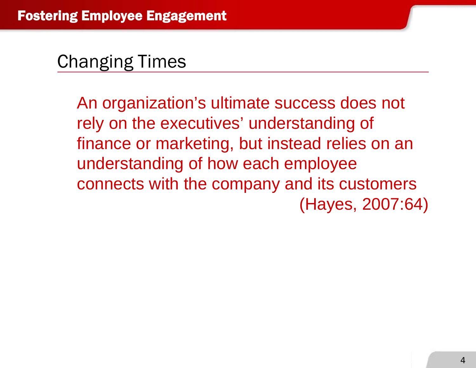An organization's ultimate success does not rely on the executives' understanding of finance or marketing, but instead relies on an understanding of how each employee connects with the company and its customers (Hayes, 2007:64)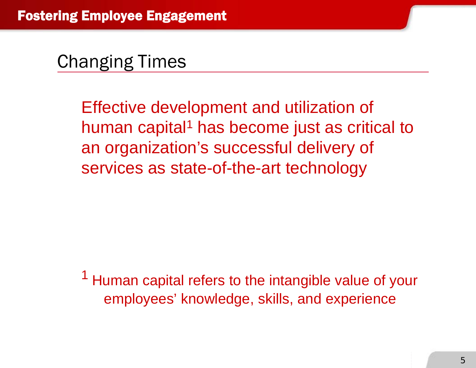Effective development and utilization of human capital<sup>1</sup> has become just as critical to an organization's successful delivery of services as state-of-the-art technology

<sup>1</sup> Human capital refers to the intangible value of your employees' knowledge, skills, and experience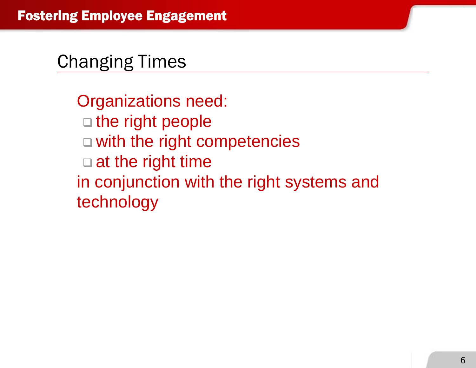Organizations need:  $\square$  the right people □ with the right competencies □ at the right time in conjunction with the right systems and technology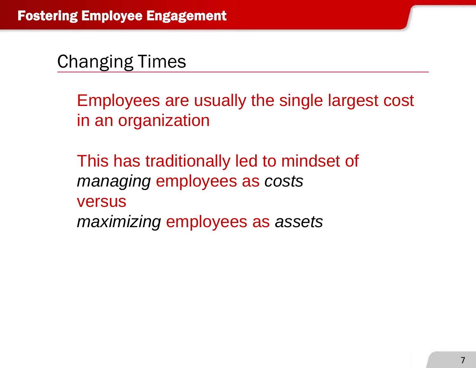Employees are usually the single largest cost in an organization

This has traditionally led to mindset of *managing* employees as *costs* versus *maximizing* employees as *assets*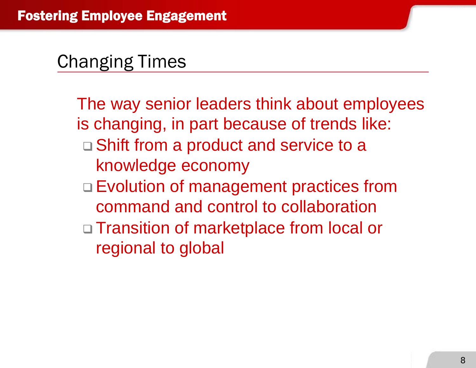The way senior leaders think about employees is changing, in part because of trends like: □ Shift from a product and service to a knowledge economy □ Evolution of management practices from command and control to collaboration□ Transition of marketplace from local or regional to global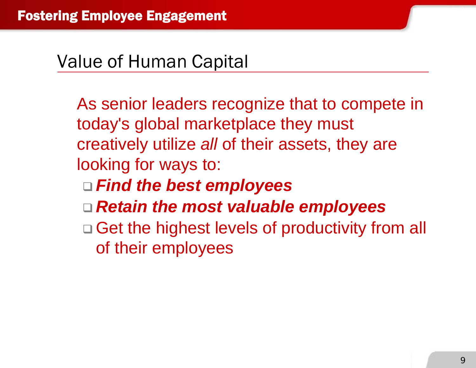#### Value of Human Capital

As senior leaders recognize that to compete in today's global marketplace they must creatively utilize *all* of their assets, they are looking for ways to:

- *Find the best employees*
- *Retain the most valuable employees*
- □ Get the highest levels of productivity from all of their employees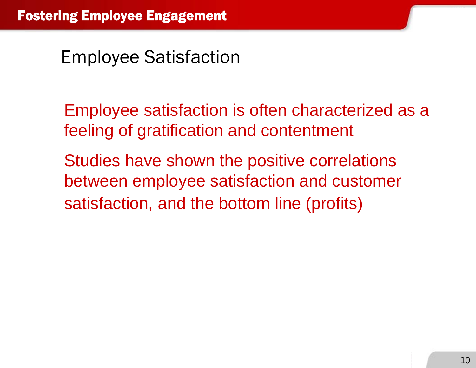Employee satisfaction is often characterized as a feeling of gratification and contentment

Studies have shown the positive correlations between employee satisfaction and customer satisfaction, and the bottom line (profits)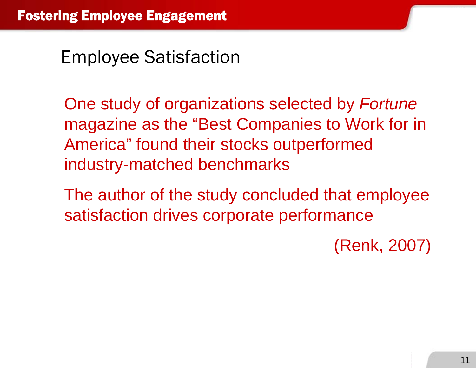One study of organizations selected by *Fortune*  magazine as the "Best Companies to Work for in America" found their stocks outperformed industry-matched benchmarks

The author of the study concluded that employee satisfaction drives corporate performance

(Renk, 2007)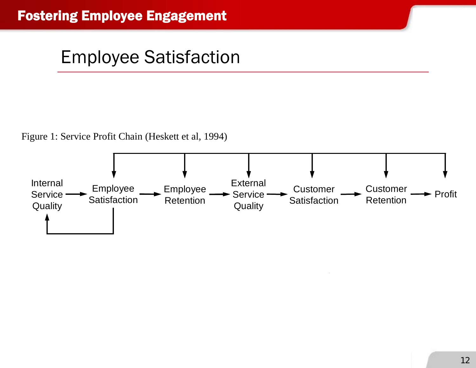Figure 1: Service Profit Chain (Heskett et al, 1994)

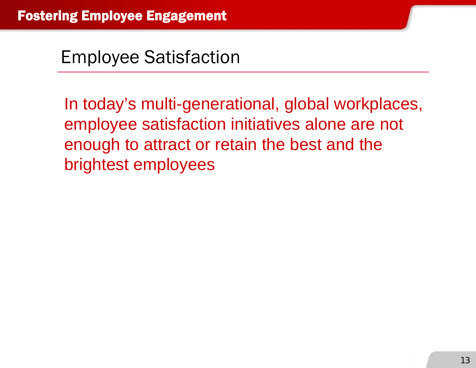In today's multi-generational, global workplaces, employee satisfaction initiatives alone are not enough to attract or retain the best and the brightest employees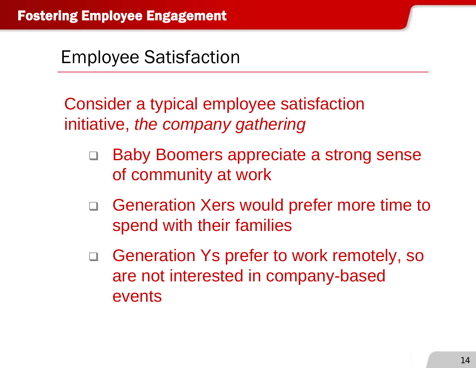Consider a typical employee satisfaction initiative, *the company gathering*

- $\Box$  Baby Boomers appreciate a strong sense of community at work
- □ Generation Xers would prefer more time to spend with their families
- $\Box$  Generation Ys prefer to work remotely, so are not interested in company-based events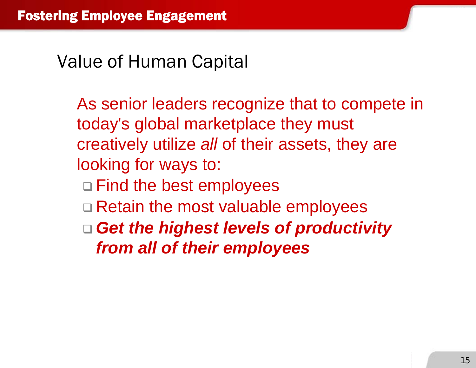#### Value of Human Capital

As senior leaders recognize that to compete in today's global marketplace they must creatively utilize *all* of their assets, they are looking for ways to:

- □ Find the best employees
- □ Retain the most valuable employees
- *Get the highest levels of productivity from all of their employees*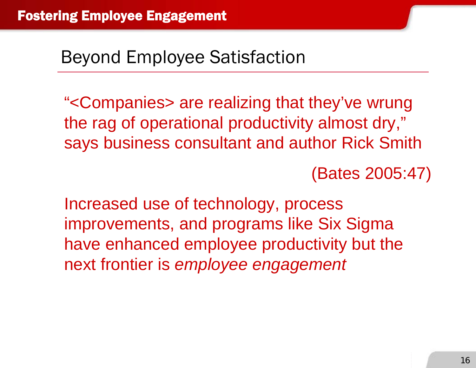# Beyond Employee Satisfaction

"<Companies> are realizing that they've wrung the rag of operational productivity almost dry," says business consultant and author Rick Smith

(Bates 2005:47)

Increased use of technology, process improvements, and programs like Six Sigma have enhanced employee productivity but the next frontier is *employee engagement*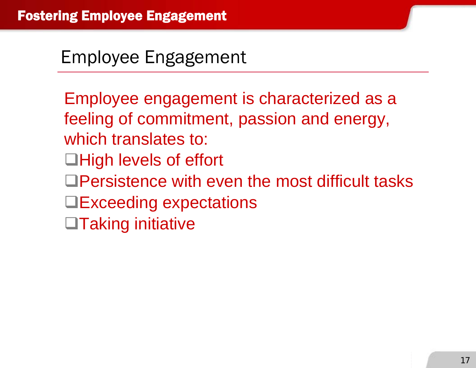### Employee Engagement

Employee engagement is characterized as a feeling of commitment, passion and energy, which translates to: **□High levels of effort** □Persistence with even the most difficult tasks **□Exceeding expectations**  $\Box$ Taking initiative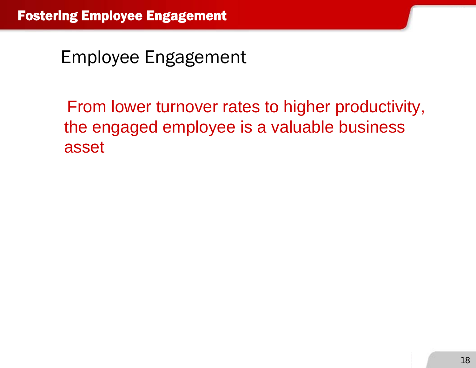Employee Engagement

From lower turnover rates to higher productivity, the engaged employee is a valuable business asset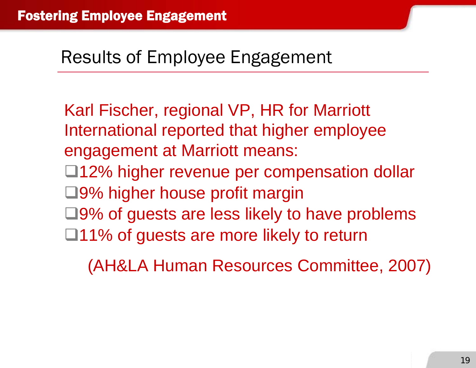#### Results of Employee Engagement

Karl Fischer, regional VP, HR for Marriott International reported that higher employee engagement at Marriott means: □12% higher revenue per compensation dollar □9% higher house profit margin  $\Box$ 9% of guests are less likely to have problems  $\Box$ 11% of guests are more likely to return

(AH&LA Human Resources Committee, 2007)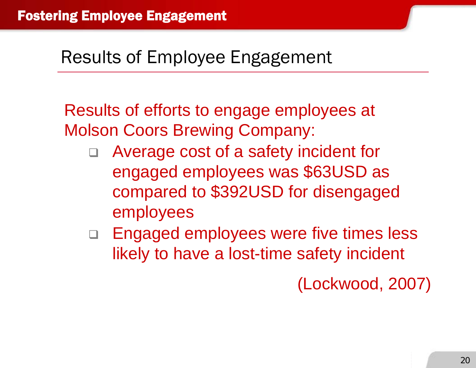### Results of Employee Engagement

Results of efforts to engage employees at Molson Coors Brewing Company:

- $\Box$  Average cost of a safety incident for engaged employees was \$63USD as compared to \$392USD for disengaged employees
- □ Engaged employees were five times less likely to have a lost-time safety incident

(Lockwood, 2007)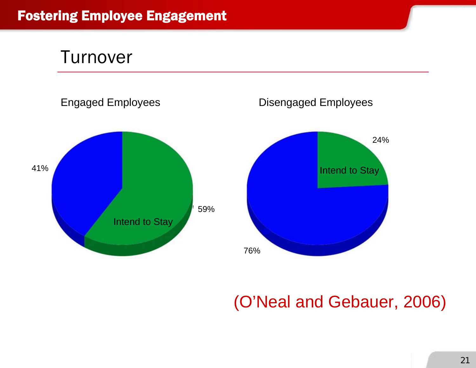



#### (O'Neal and Gebauer, 2006)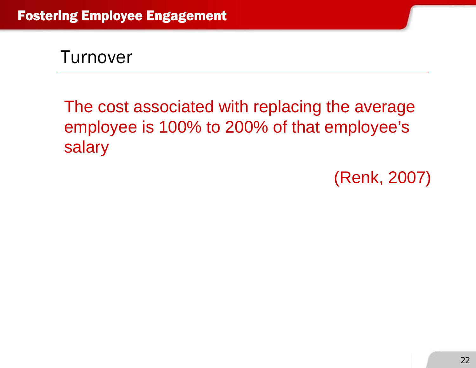Turnover

The cost associated with replacing the average employee is 100% to 200% of that employee's salary

(Renk, 2007)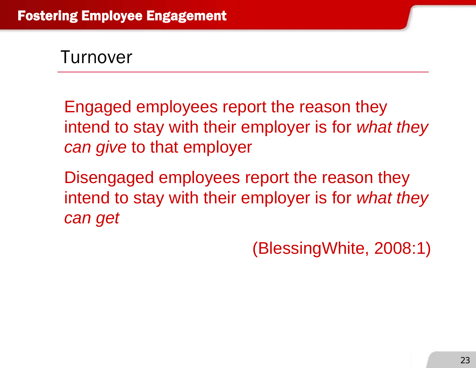Turnover

Engaged employees report the reason they intend to stay with their employer is for *what they can give* to that employer

Disengaged employees report the reason they intend to stay with their employer is for *what they can get*

(BlessingWhite, 2008:1)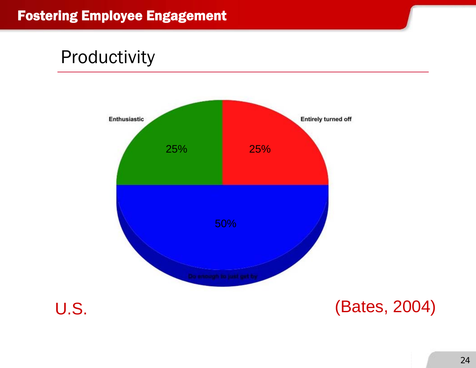

24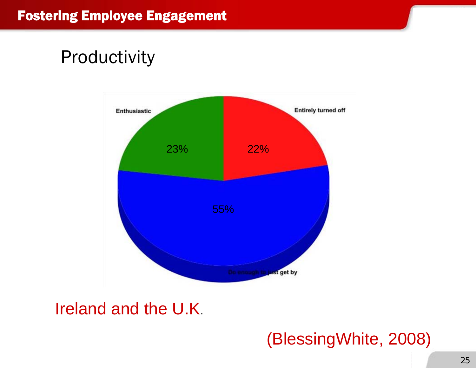

#### Ireland and the U.K.

#### (BlessingWhite, 2008)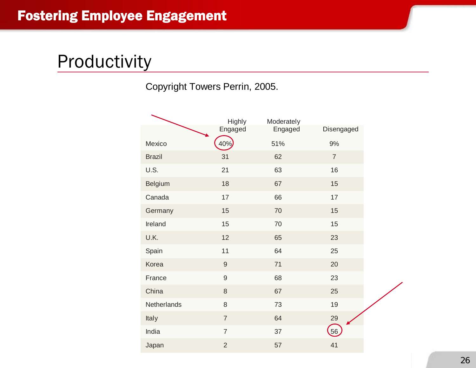Copyright Towers Perrin, 2005.

|               | Highly         | Moderately |                |
|---------------|----------------|------------|----------------|
|               | Engaged        | Engaged    | Disengaged     |
| Mexico        | 40%            | 51%        | 9%             |
| <b>Brazil</b> | 31             | 62         | $\overline{7}$ |
| U.S.          | 21             | 63         | 16             |
| Belgium       | 18             | 67         | 15             |
| Canada        | 17             | 66         | 17             |
| Germany       | 15             | 70         | 15             |
| Ireland       | 15             | 70         | 15             |
| U.K.          | 12             | 65         | 23             |
| Spain         | 11             | 64         | 25             |
| Korea         | $\overline{9}$ | 71         | 20             |
| France        | $\mathsf g$    | 68         | 23             |
| China         | $\,8\,$        | 67         | 25             |
| Netherlands   | 8              | 73         | 19             |
| Italy         | $\overline{7}$ | 64         | 29             |
| India         | $\overline{7}$ | 37         | 56             |
| Japan         | $\overline{2}$ | 57         | 41             |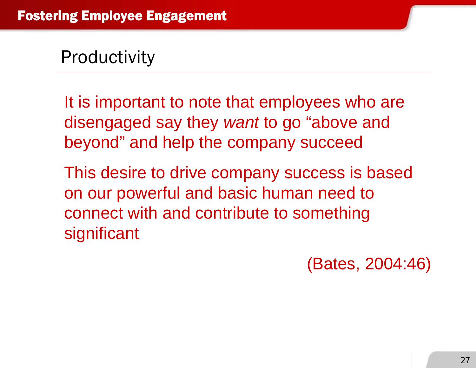It is important to note that employees who are disengaged say they *want* to go "above and beyond" and help the company succeed

This desire to drive company success is based on our powerful and basic human need to connect with and contribute to something significant

(Bates, 2004:46)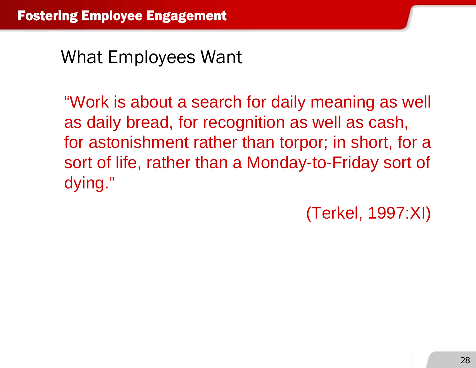What Employees Want

"Work is about a search for daily meaning as well as daily bread, for recognition as well as cash, for astonishment rather than torpor; in short, for a sort of life, rather than a Monday-to-Friday sort of dying."

(Terkel, 1997:XI)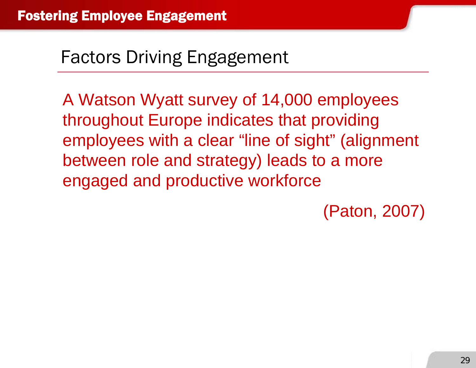A Watson Wyatt survey of 14,000 employees throughout Europe indicates that providing employees with a clear "line of sight" (alignment between role and strategy) leads to a more engaged and productive workforce

(Paton, 2007)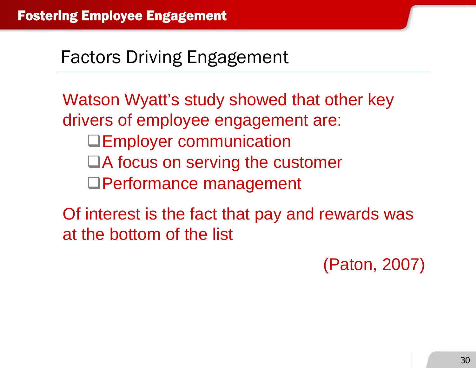Watson Wyatt's study showed that other key drivers of employee engagement are: **Employer communication** ■A focus on serving the customer Performance management

Of interest is the fact that pay and rewards was at the bottom of the list

(Paton, 2007)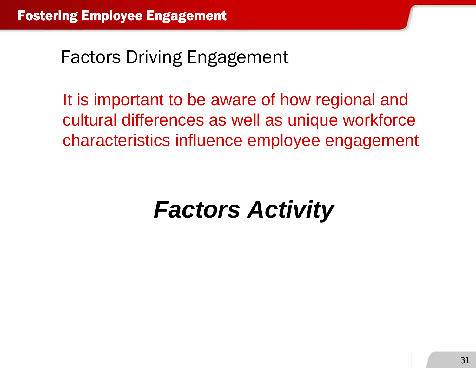It is important to be aware of how regional and cultural differences as well as unique workforce characteristics influence employee engagement

# *Factors Activity*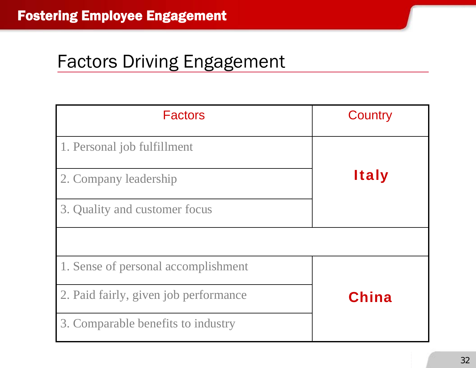| <b>Factors</b>                        | Country      |
|---------------------------------------|--------------|
| 1. Personal job fulfillment           |              |
| 2. Company leadership                 | <b>Italy</b> |
| 3. Quality and customer focus         |              |
|                                       |              |
| 1. Sense of personal accomplishment   |              |
| 2. Paid fairly, given job performance | China        |
| 3. Comparable benefits to industry    |              |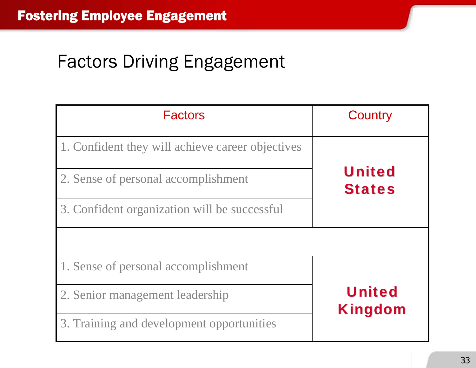| <b>Factors</b>                                   | Country                         |  |
|--------------------------------------------------|---------------------------------|--|
| 1. Confident they will achieve career objectives |                                 |  |
| 2. Sense of personal accomplishment              | <b>United</b><br><b>States</b>  |  |
| 3. Confident organization will be successful     |                                 |  |
|                                                  |                                 |  |
| 1. Sense of personal accomplishment              |                                 |  |
| 2. Senior management leadership                  | <b>United</b><br><b>Kingdom</b> |  |
| 3. Training and development opportunities        |                                 |  |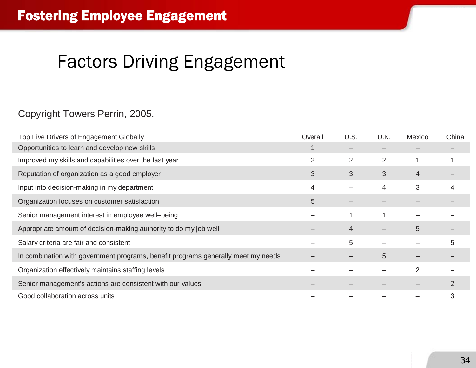#### Copyright Towers Perrin, 2005.

| Top Five Drivers of Engagement Globally                                           | Overall | U.S.           | U.K. | Mexico | China |
|-----------------------------------------------------------------------------------|---------|----------------|------|--------|-------|
| Opportunities to learn and develop new skills                                     |         |                |      |        |       |
| Improved my skills and capabilities over the last year                            | 2       | $\overline{2}$ | 2    |        |       |
| Reputation of organization as a good employer                                     | 3       | 3              | 3    | 4      |       |
| Input into decision-making in my department                                       | 4       |                | 4    | 3      | 4     |
| Organization focuses on customer satisfaction                                     | 5       |                |      |        |       |
| Senior management interest in employee well-being                                 |         |                |      |        |       |
| Appropriate amount of decision-making authority to do my job well                 |         | $\overline{4}$ |      | 5      |       |
| Salary criteria are fair and consistent                                           |         | 5              |      |        | 5     |
| In combination with government programs, benefit programs generally meet my needs |         |                | 5    |        |       |
| Organization effectively maintains staffing levels                                |         |                |      | 2      |       |
| Senior management's actions are consistent with our values                        |         |                |      |        |       |
| Good collaboration across units                                                   |         |                |      |        | 3     |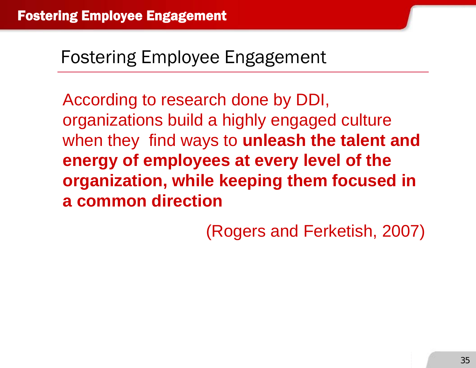According to research done by DDI, organizations build a highly engaged culture when they find ways to **unleash the talent and energy of employees at every level of the organization, while keeping them focused in a common direction**

(Rogers and Ferketish, 2007)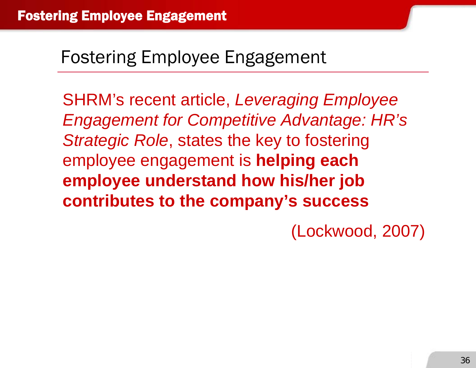SHRM's recent article, *Leveraging Employee Engagement for Competitive Advantage: HR's Strategic Role*, states the key to fostering employee engagement is **helping each employee understand how his/her job contributes to the company's success**

(Lockwood, 2007)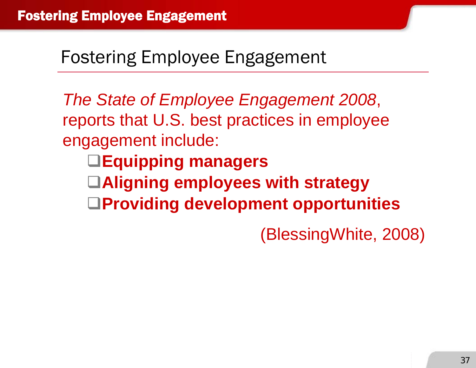*The State of Employee Engagement 2008*, reports that U.S. best practices in employee engagement include:

- **Equipping managers**
- **Aligning employees with strategy**
- **Providing development opportunities**

(BlessingWhite, 2008)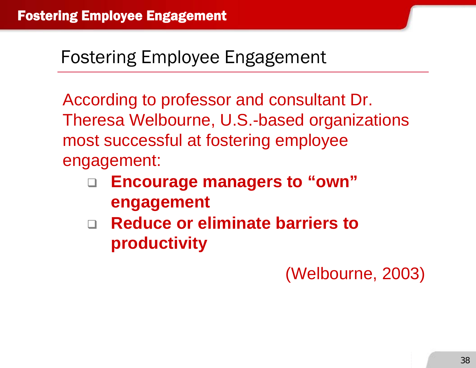According to professor and consultant Dr. Theresa Welbourne, U.S.-based organizations most successful at fostering employee engagement:

- $\Box$  **Encourage managers to "own" engagement**
- **Reduce or eliminate barriers to productivity**

(Welbourne, 2003)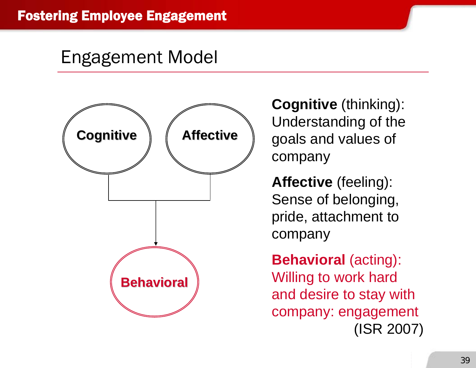#### Engagement Model



**Cognitive** (thinking): Understanding of the goals and values of company

**Affective** (feeling): Sense of belonging, pride, attachment to company

**Behavioral** (acting): Willing to work hard and desire to stay with company: engagement (ISR 2007)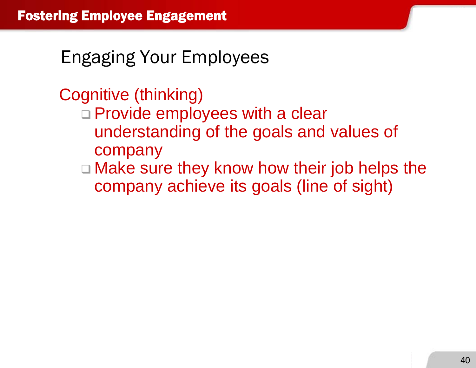Cognitive (thinking)

- □ Provide employees with a clear understanding of the goals and values of company
- □ Make sure they know how their job helps the company achieve its goals (line of sight)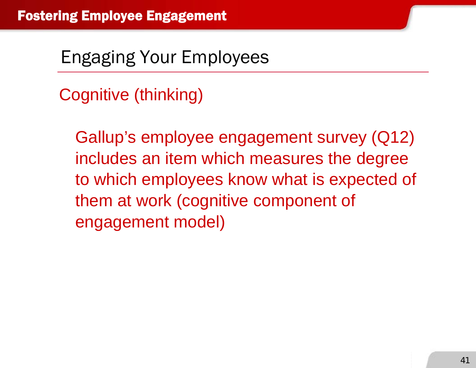Cognitive (thinking)

Gallup's employee engagement survey (Q12) includes an item which measures the degree to which employees know what is expected of them at work (cognitive component of engagement model)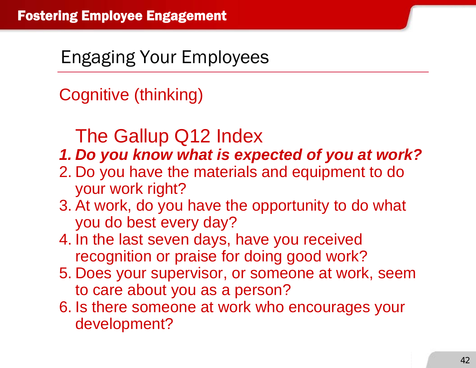Cognitive (thinking)

# The Gallup Q12 Index

#### *1. Do you know what is expected of you at work?*

- 2. Do you have the materials and equipment to do your work right?
- 3. At work, do you have the opportunity to do what you do best every day?
- 4. In the last seven days, have you received recognition or praise for doing good work?
- 5. Does your supervisor, or someone at work, seem to care about you as a person?
- 6. Is there someone at work who encourages your development?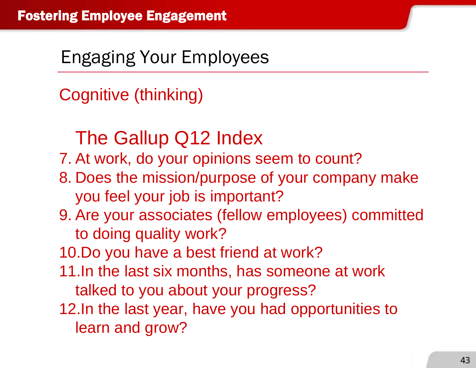Cognitive (thinking)

# The Gallup Q12 Index

7. At work, do your opinions seem to count?

- 8. Does the mission/purpose of your company make you feel your job is important?
- 9. Are your associates (fellow employees) committed to doing quality work?

10.Do you have a best friend at work?

- 11.In the last six months, has someone at work talked to you about your progress?
- 12.In the last year, have you had opportunities to learn and grow?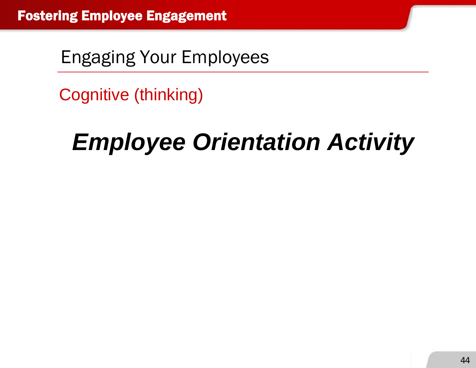Cognitive (thinking)

# *Employee Orientation Activity*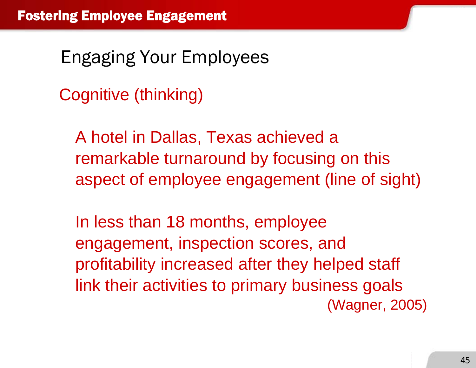Cognitive (thinking)

A hotel in Dallas, Texas achieved a remarkable turnaround by focusing on this aspect of employee engagement (line of sight)

In less than 18 months, employee engagement, inspection scores, and profitability increased after they helped staff link their activities to primary business goals (Wagner, 2005)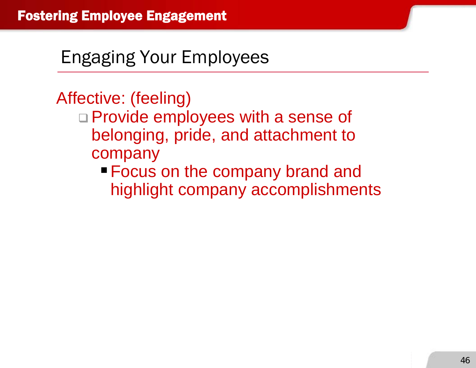# Affective: (feeling)

- □ Provide employees with a sense of belonging, pride, and attachment to company
	- **Focus on the company brand and** highlight company accomplishments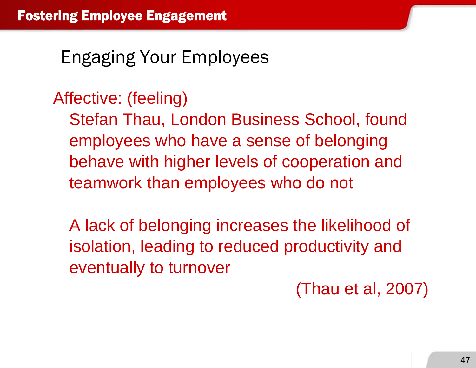#### Affective: (feeling)

Stefan Thau, London Business School, found employees who have a sense of belonging behave with higher levels of cooperation and teamwork than employees who do not

A lack of belonging increases the likelihood of isolation, leading to reduced productivity and eventually to turnover

(Thau et al, 2007)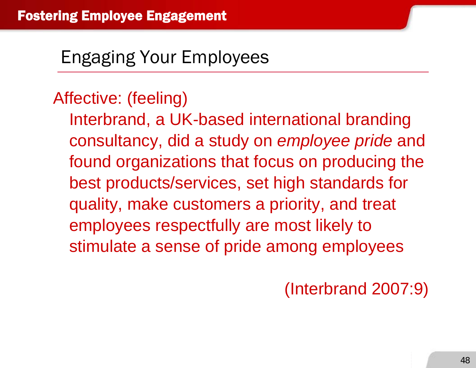## Affective: (feeling)

Interbrand, a UK-based international branding consultancy, did a study on *employee pride* and found organizations that focus on producing the best products/services, set high standards for quality, make customers a priority, and treat employees respectfully are most likely to stimulate a sense of pride among employees

(Interbrand 2007:9)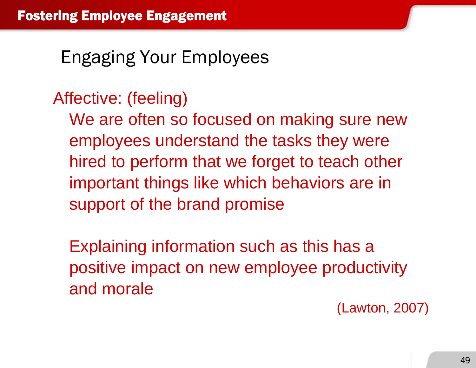### Affective: (feeling)

We are often so focused on making sure new employees understand the tasks they were hired to perform that we forget to teach other important things like which behaviors are in support of the brand promise

Explaining information such as this has a positive impact on new employee productivity and morale

(Lawton, 2007)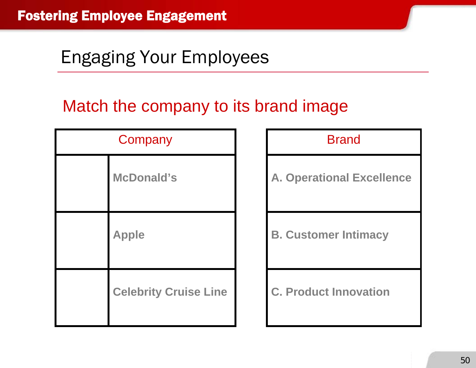#### Match the company to its brand image

| Company                      |  | <b>Brand</b>                     |
|------------------------------|--|----------------------------------|
| <b>McDonald's</b>            |  | <b>A. Operational Excellence</b> |
| <b>Apple</b>                 |  | <b>B. Customer Intimacy</b>      |
| <b>Celebrity Cruise Line</b> |  | <b>C. Product Innovation</b>     |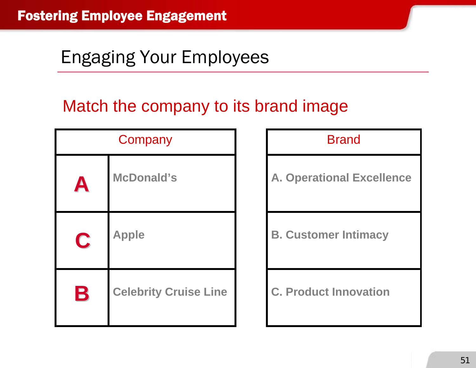#### Match the company to its brand image

| Company     |                              | <b>Brand</b>                     |
|-------------|------------------------------|----------------------------------|
| A           | <b>McDonald's</b>            | <b>A. Operational Excellence</b> |
| C           | <b>Apple</b>                 | <b>B. Customer Intimacy</b>      |
| $\mathbf B$ | <b>Celebrity Cruise Line</b> | <b>C. Product Innovation</b>     |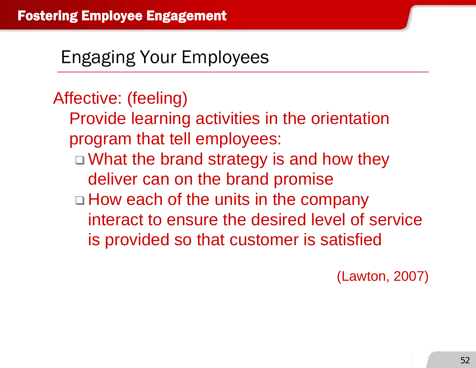Affective: (feeling) Provide learning activities in the orientation program that tell employees: □ What the brand strategy is and how they deliver can on the brand promise □ How each of the units in the company interact to ensure the desired level of service is provided so that customer is satisfied

(Lawton, 2007)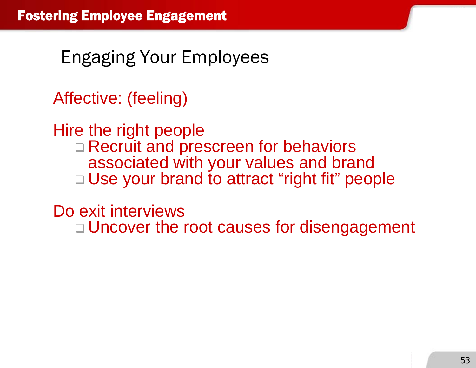Affective: (feeling)

Hire the right people □ Recruit and prescreen for behaviors associated with your values and brand □ Use your brand to attract "right fit" people

Do exit interviews

□ Uncover the root causes for disengagement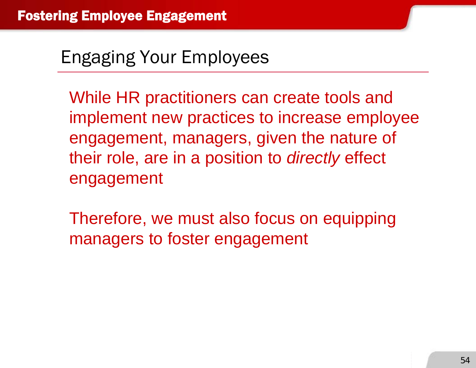While HR practitioners can create tools and implement new practices to increase employee engagement, managers, given the nature of their role, are in a position to *directly* effect engagement

Therefore, we must also focus on equipping managers to foster engagement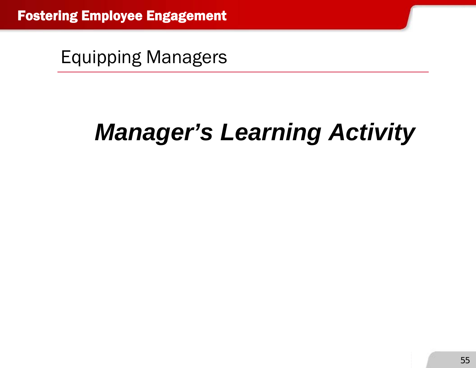Equipping Managers

# *Manager's Learning Activity*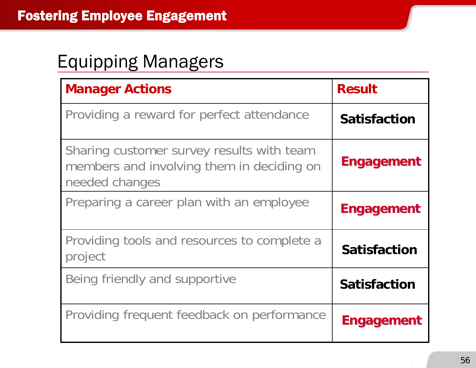#### Equipping Managers

| <b>Manager Actions</b>                                                                                   | <b>Result</b>       |
|----------------------------------------------------------------------------------------------------------|---------------------|
| Providing a reward for perfect attendance                                                                | <b>Satisfaction</b> |
| Sharing customer survey results with team<br>members and involving them in deciding on<br>needed changes | <b>Engagement</b>   |
| Preparing a career plan with an employee                                                                 | <b>Engagement</b>   |
| Providing tools and resources to complete a<br>project                                                   | <b>Satisfaction</b> |
| Being friendly and supportive                                                                            | <b>Satisfaction</b> |
| Providing frequent feedback on performance                                                               | <b>Engagement</b>   |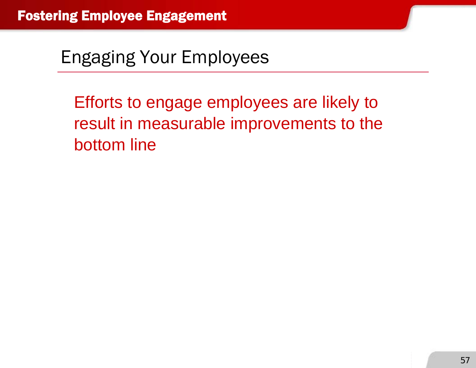Efforts to engage employees are likely to result in measurable improvements to the bottom line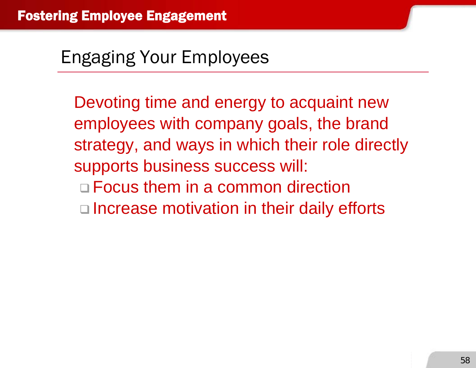Devoting time and energy to acquaint new employees with company goals, the brand strategy, and ways in which their role directly supports business success will: Focus them in a common direction □ Increase motivation in their daily efforts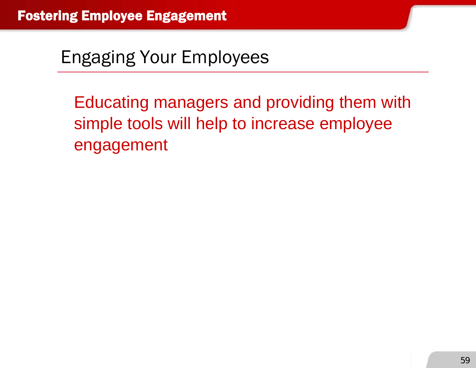Educating managers and providing them with simple tools will help to increase employee engagement